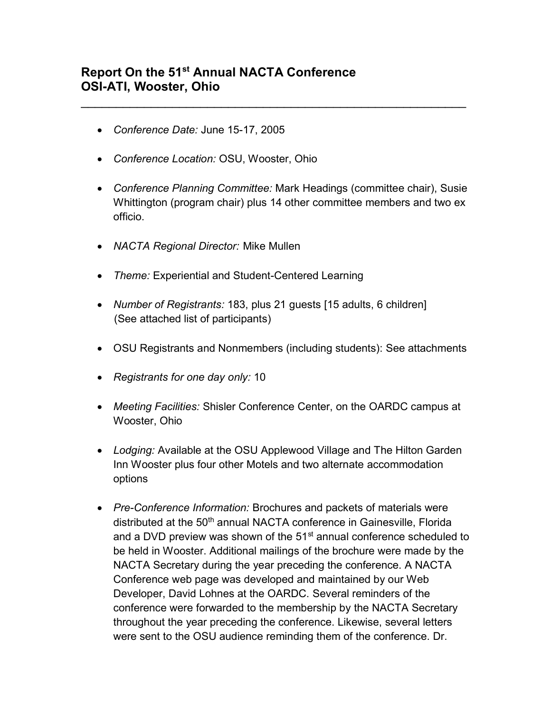## **Report On the 51st Annual NACTA Conference OSI-ATI, Wooster, Ohio**

- *Conference Date:* June 15-17, 2005
- *Conference Location:* OSU, Wooster, Ohio
- *Conference Planning Committee:* Mark Headings (committee chair), Susie Whittington (program chair) plus 14 other committee members and two ex officio.

 $\mathcal{L}_\text{max}$  , and the contract of the contract of the contract of the contract of the contract of the contract of the contract of the contract of the contract of the contract of the contract of the contract of the contr

- *NACTA Regional Director:* Mike Mullen
- *Theme:* Experiential and Student-Centered Learning
- *Number of Registrants:* 183, plus 21 guests [15 adults, 6 children] (See attached list of participants)
- OSU Registrants and Nonmembers (including students): See attachments
- *Registrants for one day only:* 10
- *Meeting Facilities:* Shisler Conference Center, on the OARDC campus at Wooster, Ohio
- *Lodging:* Available at the OSU Applewood Village and The Hilton Garden Inn Wooster plus four other Motels and two alternate accommodation options
- *Pre-Conference Information:* Brochures and packets of materials were distributed at the 50<sup>th</sup> annual NACTA conference in Gainesville, Florida and a DVD preview was shown of the 51<sup>st</sup> annual conference scheduled to be held in Wooster. Additional mailings of the brochure were made by the NACTA Secretary during the year preceding the conference. A NACTA Conference web page was developed and maintained by our Web Developer, David Lohnes at the OARDC. Several reminders of the conference were forwarded to the membership by the NACTA Secretary throughout the year preceding the conference. Likewise, several letters were sent to the OSU audience reminding them of the conference. Dr.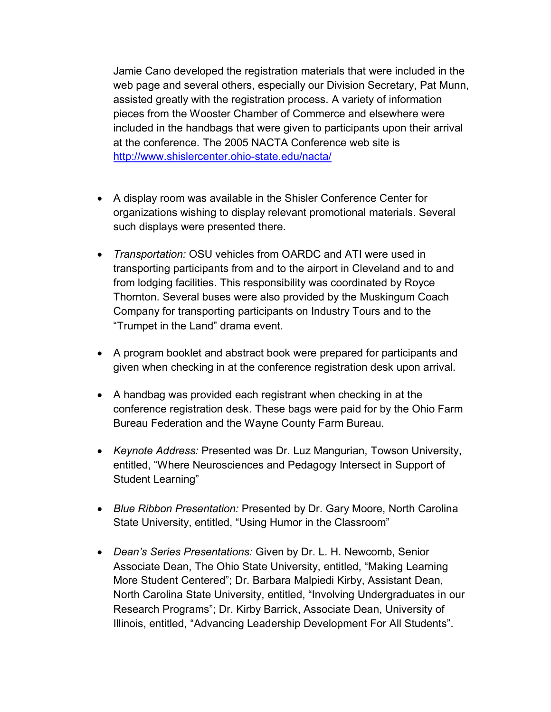Jamie Cano developed the registration materials that were included in the web page and several others, especially our Division Secretary, Pat Munn, assisted greatly with the registration process. A variety of information pieces from the Wooster Chamber of Commerce and elsewhere were included in the handbags that were given to participants upon their arrival at the conference. The 2005 NACTA Conference web site is <http://www.shislercenter.ohio-state.edu/nacta/>

- A display room was available in the Shisler Conference Center for organizations wishing to display relevant promotional materials. Several such displays were presented there.
- *Transportation:* OSU vehicles from OARDC and ATI were used in transporting participants from and to the airport in Cleveland and to and from lodging facilities. This responsibility was coordinated by Royce Thornton. Several buses were also provided by the Muskingum Coach Company for transporting participants on Industry Tours and to the "Trumpet in the Land" drama event.
- A program booklet and abstract book were prepared for participants and given when checking in at the conference registration desk upon arrival.
- A handbag was provided each registrant when checking in at the conference registration desk. These bags were paid for by the Ohio Farm Bureau Federation and the Wayne County Farm Bureau.
- *Keynote Address:* Presented was Dr. Luz Mangurian, Towson University, entitled, "Where Neurosciences and Pedagogy Intersect in Support of Student Learning"
- *Blue Ribbon Presentation:* Presented by Dr. Gary Moore, North Carolina State University, entitled, "Using Humor in the Classroom"
- *Dean's Series Presentations:* Given by Dr. L. H. Newcomb, Senior Associate Dean, The Ohio State University, entitled, "Making Learning More Student Centered"; Dr. Barbara Malpiedi Kirby, Assistant Dean, North Carolina State University, entitled, "Involving Undergraduates in our Research Programs"; Dr. Kirby Barrick, Associate Dean, University of Illinois, entitled, "Advancing Leadership Development For All Students".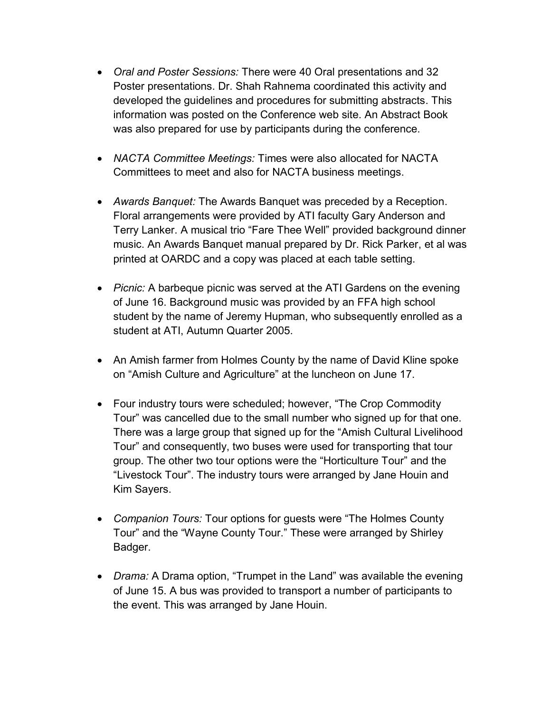- *Oral and Poster Sessions:* There were 40 Oral presentations and 32 Poster presentations. Dr. Shah Rahnema coordinated this activity and developed the guidelines and procedures for submitting abstracts. This information was posted on the Conference web site. An Abstract Book was also prepared for use by participants during the conference.
- *NACTA Committee Meetings:* Times were also allocated for NACTA Committees to meet and also for NACTA business meetings.
- *Awards Banquet:* The Awards Banquet was preceded by a Reception. Floral arrangements were provided by ATI faculty Gary Anderson and Terry Lanker. A musical trio "Fare Thee Well" provided background dinner music. An Awards Banquet manual prepared by Dr. Rick Parker, et al was printed at OARDC and a copy was placed at each table setting.
- *Picnic:* A barbeque picnic was served at the ATI Gardens on the evening of June 16. Background music was provided by an FFA high school student by the name of Jeremy Hupman, who subsequently enrolled as a student at ATI, Autumn Quarter 2005.
- An Amish farmer from Holmes County by the name of David Kline spoke on "Amish Culture and Agriculture" at the luncheon on June 17.
- Four industry tours were scheduled; however, "The Crop Commodity Tour" was cancelled due to the small number who signed up for that one. There was a large group that signed up for the "Amish Cultural Livelihood Tour" and consequently, two buses were used for transporting that tour group. The other two tour options were the "Horticulture Tour" and the "Livestock Tour". The industry tours were arranged by Jane Houin and Kim Sayers.
- *Companion Tours:* Tour options for guests were "The Holmes County Tour" and the "Wayne County Tour." These were arranged by Shirley Badger.
- *Drama:* A Drama option, "Trumpet in the Land" was available the evening of June 15. A bus was provided to transport a number of participants to the event. This was arranged by Jane Houin.